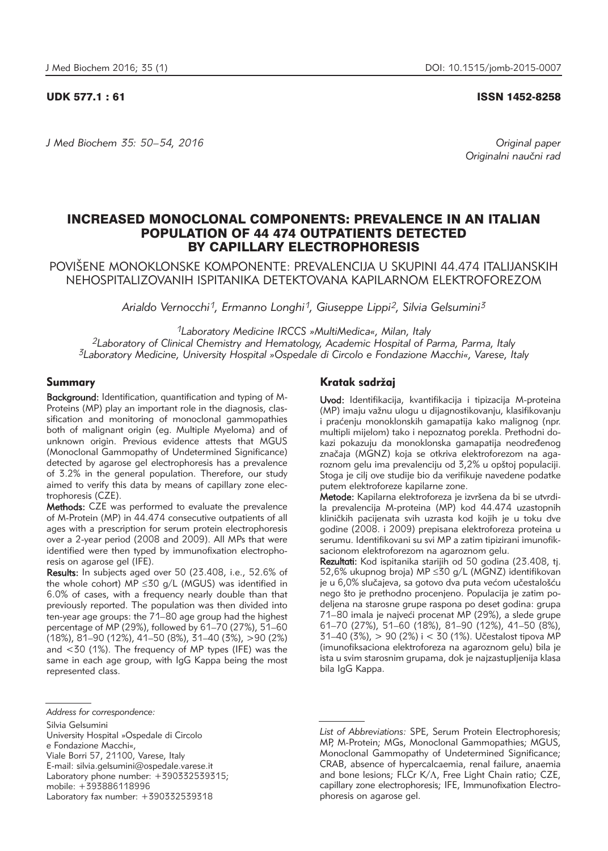UDK 577.1 : 61 ISSN 1452-8258

*J Med Biochem 35: 50–54, 2016 Original paper*

Originalni naučni rad

# INCREASED MONOCLONAL COMPONENTS: PREVALENCE IN AN ITALIAN POPULATION OF 44 474 OUTPATIENTS DETECTED BY CAPILLARY ELECTROPHORESIS

POVIŠENE MONOKLONSKE KOMPONENTE: PREVALENCIJA U SKUPINI 44.474 ITALIJANSKIH NEHOSPITALIZOVANIH ISPITANIKA DETEKTOVANA KAPILARNOM ELEKTROFOREZOM

*Arialdo Vernocchi1, Ermanno Longhi1, Giuseppe Lippi2, Silvia Gelsumini3*

*1Laboratory Medicine IRCCS »MultiMedica«, Milan, Italy*

*2Laboratory of Clinical Chemistry and Hematology, Academic Hospital of Parma, Parma, Italy 3Laboratory Medicine, University Hospital »Ospedale di Circolo e Fondazione Macchi«, Varese, Italy*

## Summary

Background: Identification, quantification and typing of M-Proteins (MP) play an important role in the diagnosis, classification and monitoring of monoclonal gammopathies both of malignant origin (eg. Multiple Myeloma) and of unknown origin. Previous evidence attests that MGUS (Monoclonal Gammopathy of Undetermined Significance) detected by agarose gel electrophoresis has a prevalence of 3.2% in the general population. Therefore, our study aimed to verify this data by means of capillary zone electrophoresis (CZE).

Methods: CZE was performed to evaluate the prevalence of M-Protein (MP) in 44.474 consecutive outpatients of all ages with a prescription for serum protein electrophoresis over a 2-year period (2008 and 2009). All MPs that were identified were then typed by immunofixation electrophoresis on agarose gel (IFE).

Results: In subjects aged over 50 (23.408, i.e., 52.6% of the whole cohort) MP  $\leq$  30 g/L (MGUS) was identified in 6.0% of cases, with a frequency nearly double than that previously reported. The population was then divided into ten-year age groups: the 71–80 age group had the highest percentage of MP (29%), followed by 61–70 (27%), 51–60 (18%), 81–90 (12%), 41–50 (8%), 31–40 (3%), >90 (2%) and <30 (1%). The frequency of MP types (IFE) was the same in each age group, with IgG Kappa being the most represented class.

- University Hospital »Ospedale di Circolo e Fondazione Macchi«, Viale Borri 57, 21100, Varese, Italy
- E-mail: silvia.gelsumini@ospedale.varese.it Laboratory phone number: +390332539315;

### Kratak sadržaj

Uvod: Identifikacija, kvantifikacija i tipizacija M-proteina (MP) imaju važnu ulogu u dijagnostikovanju, klasifikovanju i praćenju monoklonskih gamapatija kako malignog (npr. multipli mijelom) tako i nepoznatog porekla. Prethodni dokazi pokazuju da monoklonska gamapatija neodređenog značaja (MGNZ) koja se otkriva elektroforezom na agaroznom gelu ima prevalenciju od 3,2% u opštoj populaciji. Stoga je cilj ove studije bio da verifikuje navedene podatke putem elektroforeze kapilarne zone.

Metode: Kapilarna elektroforeza je izvršena da bi se utvrdila prevalencija M-proteina (MP) kod 44.474 uzastopnih kliničkih pacijenata svih uzrasta kod kojih je u toku dve godine (2008. i 2009) prepisana elektroforeza proteina u serumu. Identifikovani su svi MP a zatim tipizirani imunofiksacionom elektroforezom na agaroznom gelu.

Rezultati: Kod ispitanika starijih od 50 godina (23.408, tj. 52,6% ukupnog broja) MP ≤30 g/L (MGNZ) identifikovan je u 6,0% slučajeva, sa gotovo dva puta većom učestalošću nego što je prethodno procenjeno. Populacija je zatim podeljena na starosne grupe raspona po deset godina: grupa 71–80 imala je najveći procenat MP (29%), a slede grupe 61–70 (27%), 51–60 (18%), 81–90 (12%), 41–50 (8%),  $31-40$  (3%),  $> 90$  (2%) i < 30 (1%). Učestalost tipova MP (imunofiksaciona elektroforeza na agaroznom gelu) bila je ista u svim starosnim grupama, dok je najzastupljenija klasa bila IgG Kappa.

*Address for correspondence:*

Silvia Gelsumini

mobile: +393886118996

Laboratory fax number: +390332539318

*List of Abbreviations:* SPE, Serum Protein Electrophoresis; MP, M-Protein; MGs, Monoclonal Gammopathies; MGUS, Monoclonal Gammopathy of Undetermined Significance; CRAB, absence of hypercalcaemia, renal failure, anaemia and bone lesions; FLCr  $K/\Lambda$ , Free Light Chain ratio; CZE, capillary zone electrophoresis; IFE, Immunofixation Electro phoresis on agarose gel.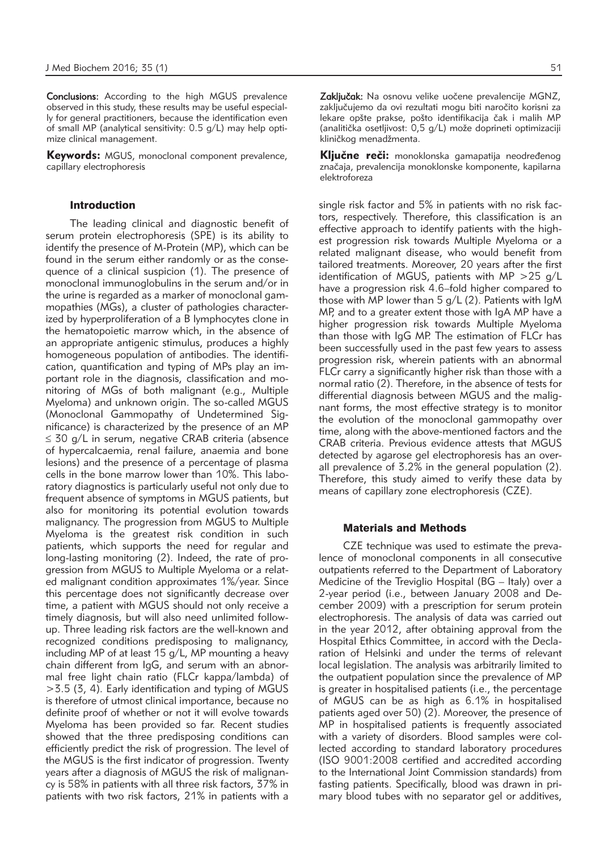Conclusions: According to the high MGUS prevalence observed in this study, these results may be useful especially for general practitioners, because the identification even of small MP (analytical sensitivity: 0.5 g/L) may help optimize clinical management.

**Keywords:** MGUS, monoclonal component prevalence, capillary electrophoresis

## Introduction

The leading clinical and diagnostic benefit of serum protein electrophoresis (SPE) is its ability to identify the presence of M-Protein (MP), which can be found in the serum either randomly or as the consequence of a clinical suspicion (1). The presence of monoclonal immunoglobulins in the serum and/or in the urine is regarded as a marker of monoclonal gammopathies (MGs), a cluster of pathologies characterized by hyperproliferation of a B lymphocytes clone in the hematopoietic marrow which, in the absence of an appropriate antigenic stimulus, produces a highly homogeneous population of antibodies. The identification, quantification and typing of MPs play an important role in the diagnosis, classification and monitoring of MGs of both malignant (e.g., Multiple Myeloma) and unknown origin. The so-called MGUS (Monoclonal Gammopathy of Undetermined Significance) is characterized by the presence of an MP ≤ 30 g/L in serum, negative CRAB criteria (absence of hypercalcaemia, renal failure, anaemia and bone lesions) and the presence of a percentage of plasma cells in the bone marrow lower than 10%. This laboratory diagnostics is particularly useful not only due to frequent absence of symptoms in MGUS patients, but also for monitoring its potential evolution towards malignancy. The progression from MGUS to Multiple Myeloma is the greatest risk condition in such patients, which supports the need for regular and long-lasting monitoring (2). Indeed, the rate of progression from MGUS to Multiple Myeloma or a related malignant condition approximates 1%/year. Since this percentage does not significantly decrease over time, a patient with MGUS should not only receive a timely diagnosis, but will also need unlimited followup. Three leading risk factors are the well-known and recognized conditions predisposing to malignancy, including MP of at least 15 g/L, MP mounting a heavy chain different from IgG, and serum with an abnormal free light chain ratio (FLCr kappa/lambda) of >3.5 (3, 4). Early identification and typing of MGUS is therefore of utmost clinical importance, because no definite proof of whether or not it will evolve towards Myeloma has been provided so far. Recent studies showed that the three predisposing conditions can efficiently predict the risk of progression. The level of the MGUS is the first indicator of progression. Twenty years after a diagnosis of MGUS the risk of malignancy is 58% in patients with all three risk factors, 37% in patients with two risk factors, 21% in patients with a

Zaključak: Na osnovu velike uočene prevalencije MGNZ, zaključujemo da ovi rezultati mogu biti naročito korisni za lekare opšte prakse, pošto identifikacija čak i malih MP (analitička osetljivost: 0,5 g/L) može doprineti optimizaciji kliničkog menadžmenta.

Ključne reči: monoklonska gamapatija neodređenog značaja, prevalencija monoklonske komponente, kapilarna elektroforeza

single risk factor and 5% in patients with no risk factors, respectively. Therefore, this classification is an effective approach to identify patients with the highest progression risk towards Multiple Myeloma or a related malignant disease, who would benefit from tailored treatments. Moreover, 20 years after the first identification of MGUS, patients with MP >25 g/L have a progression risk 4.6–fold higher compared to those with MP lower than 5 g/L (2). Patients with IgM MP, and to a greater extent those with IgA MP have a higher progression risk towards Multiple Myeloma than those with IgG MP. The estimation of FLCr has been successfully used in the past few years to assess progression risk, wherein patients with an abnormal FLCr carry a significantly higher risk than those with a normal ratio (2). Therefore, in the absence of tests for differential diagnosis between MGUS and the malignant forms, the most effective strategy is to monitor the evolution of the monoclonal gammopathy over time, along with the above-mentioned factors and the CRAB criteria. Previous evidence attests that MGUS detected by agarose gel electrophoresis has an overall prevalence of 3.2% in the general population (2). Therefore, this study aimed to verify these data by means of capillary zone electrophoresis (CZE).

#### Materials and Methods

CZE technique was used to estimate the prevalence of monoclonal components in all consecutive outpatients referred to the Department of Laboratory Medicine of the Treviglio Hospital (BG – Italy) over a 2-year period (i.e., between January 2008 and December 2009) with a prescription for serum protein electrophoresis. The analysis of data was carried out in the year 2012, after obtaining approval from the Hospital Ethics Committee, in accord with the Declaration of Helsinki and under the terms of relevant local legislation. The analysis was arbitrarily limited to the outpatient population since the prevalence of MP is greater in hospitalised patients (i.e., the percentage of MGUS can be as high as 6.1% in hospitalised patients aged over 50) (2). Moreover, the presence of MP in hospitalised patients is frequently associated with a variety of disorders. Blood samples were collected according to standard laboratory procedures (ISO 9001:2008 certified and accredited according to the International Joint Commission standards) from fasting patients. Specifically, blood was drawn in primary blood tubes with no separator gel or additives,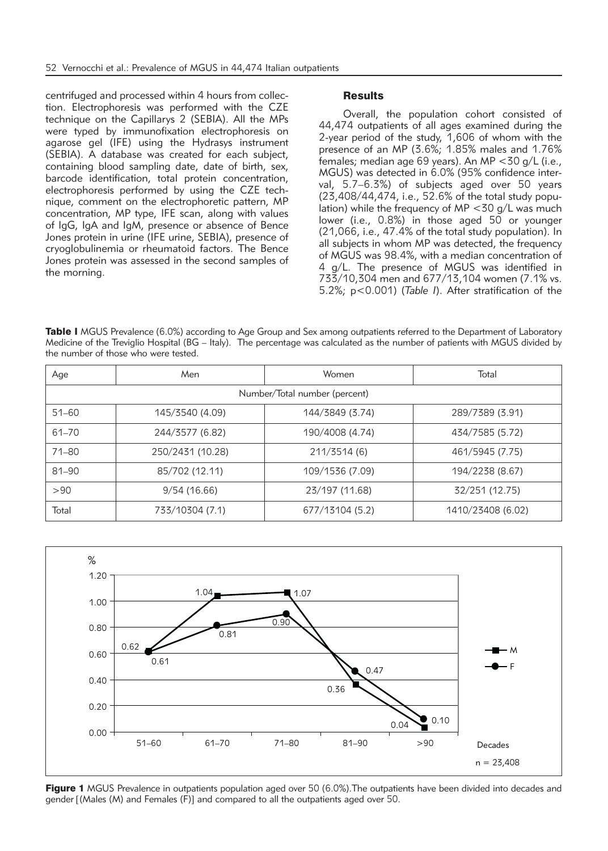centrifuged and processed within 4 hours from collection. Electrophoresis was performed with the CZE technique on the Capillarys 2 (SEBIA). All the MPs were typed by immunofixation electrophoresis on agarose gel (IFE) using the Hydrasys instrument (SEBIA). A database was created for each subject, containing blood sampling date, date of birth, sex, barcode identification, total protein concentration, electrophoresis performed by using the CZE technique, comment on the electrophoretic pattern, MP concentration, MP type, IFE scan, along with values of IgG, IgA and IgM, presence or absence of Bence Jones protein in urine (IFE urine, SEBIA), presence of cryoglobulinemia or rheumatoid factors. The Bence Jones protein was assessed in the second samples of the morning.

## **Results**

Overall, the population cohort consisted of 44,474 outpatients of all ages examined during the 2-year period of the study, 1,606 of whom with the presence of an MP (3.6%; 1.85% males and 1.76% females; median age 69 years). An MP <30 g/L (i.e., MGUS) was detected in 6.0% (95% confidence interval, 5.7–6.3%) of subjects aged over 50 years (23,408/44,474, i.e., 52.6% of the total study population) while the frequency of  $MP < 30$  g/L was much lower (i.e., 0.8%) in those aged 50 or younger (21,066, i.e., 47.4% of the total study population). In all subjects in whom MP was detected, the frequency of MGUS was 98.4%, with a median concentration of 4 g/L. The presence of MGUS was identified in 733/10,304 men and 677/13,104 women (7.1% vs. 5.2%; p<0.001) (*Table I*). After stratification of the

Table I MGUS Prevalence (6.0%) according to Age Group and Sex among outpatients referred to the Department of Laboratory Medicine of the Treviglio Hospital (BG – Italy). The percentage was calculated as the number of patients with MGUS divided by the number of those who were tested.

| Age                           | Men              | Women           | Total             |
|-------------------------------|------------------|-----------------|-------------------|
| Number/Total number (percent) |                  |                 |                   |
| $51 - 60$                     | 145/3540 (4.09)  | 144/3849 (3.74) | 289/7389 (3.91)   |
| 61-70                         | 244/3577 (6.82)  | 190/4008 (4.74) | 434/7585 (5.72)   |
| 71-80                         | 250/2431 (10.28) | 211/3514 (6)    | 461/5945 (7.75)   |
| $81 - 90$                     | 85/702 (12.11)   | 109/1536 (7.09) | 194/2238 (8.67)   |
| >90                           | 9/54(16.66)      | 23/197 (11.68)  | 32/251 (12.75)    |
| Total                         | 733/10304 (7.1)  | 677/13104 (5.2) | 1410/23408 (6.02) |



Figure 1 MGUS Prevalence in outpatients population aged over 50 (6.0%). The outpatients have been divided into decades and gender [(Males (M) and Females (F)] and compared to all the outpatients aged over 50.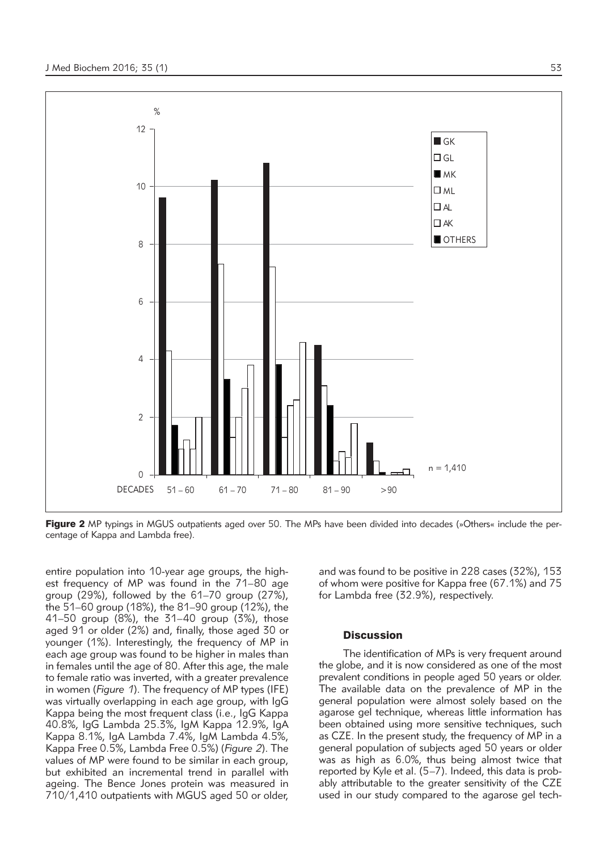

Figure 2 MP typings in MGUS outpatients aged over 50. The MPs have been divided into decades (»Others« include the percentage of Kappa and Lambda free).

entire population into 10-year age groups, the highest frequency of MP was found in the 71–80 age group (29%), followed by the 61–70 group (27%), the 51–60 group (18%), the 81–90 group (12%), the 41–50 group (8%), the 31–40 group (3%), those aged 91 or older (2%) and, finally, those aged 30 or younger (1%). Interestingly, the frequency of MP in each age group was found to be higher in males than in females until the age of 80. After this age, the male to female ratio was inverted, with a greater prevalence in women (*Figure 1*). The frequency of MP types (IFE) was virtually overlapping in each age group, with IgG Kappa being the most frequent class (i.e., IgG Kappa 40.8%, IgG Lambda 25.3%, IgM Kappa 12.9%, IgA Kappa 8.1%, IgA Lambda 7.4%, IgM Lambda 4.5%, Kappa Free 0.5%, Lambda Free 0.5%) (*Figure 2*). The values of MP were found to be similar in each group, but exhibited an incremental trend in parallel with ageing. The Bence Jones protein was measured in 710/1,410 outpatients with MGUS aged 50 or older, and was found to be positive in 228 cases (32%), 153 of whom were positive for Kappa free (67.1%) and 75 for Lambda free (32.9%), respectively.

## **Discussion**

The identification of MPs is very frequent around the globe, and it is now considered as one of the most prevalent conditions in people aged 50 years or older. The available data on the prevalence of MP in the general population were almost solely based on the agarose gel technique, whereas little information has been obtained using more sensitive techniques, such as CZE. In the present study, the frequency of MP in a general population of subjects aged 50 years or older was as high as 6.0%, thus being almost twice that reported by Kyle et al. (5–7). Indeed, this data is probably attributable to the greater sensitivity of the CZE used in our study compared to the agarose gel tech-